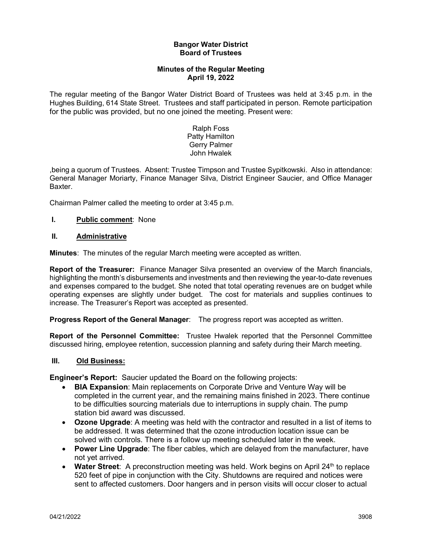### **Bangor Water District Board of Trustees**

## **Minutes of the Regular Meeting April 19, 2022**

The regular meeting of the Bangor Water District Board of Trustees was held at 3:45 p.m. in the Hughes Building, 614 State Street. Trustees and staff participated in person. Remote participation for the public was provided, but no one joined the meeting. Present were:

> Ralph Foss Patty Hamilton Gerry Palmer John Hwalek

,being a quorum of Trustees. Absent: Trustee Timpson and Trustee Sypitkowski. Also in attendance: General Manager Moriarty, Finance Manager Silva, District Engineer Saucier, and Office Manager Baxter.

Chairman Palmer called the meeting to order at 3:45 p.m.

# **I. Public comment**: None

### **II. Administrative**

**Minutes**: The minutes of the regular March meeting were accepted as written.

**Report of the Treasurer:** Finance Manager Silva presented an overview of the March financials, highlighting the month's disbursements and investments and then reviewing the year-to-date revenues and expenses compared to the budget. She noted that total operating revenues are on budget while operating expenses are slightly under budget. The cost for materials and supplies continues to increase. The Treasurer's Report was accepted as presented.

**Progress Report of the General Manager**: The progress report was accepted as written.

**Report of the Personnel Committee:** Trustee Hwalek reported that the Personnel Committee discussed hiring, employee retention, succession planning and safety during their March meeting.

### **III. Old Business:**

**Engineer's Report:** Saucier updated the Board on the following projects:

- **BIA Expansion**: Main replacements on Corporate Drive and Venture Way will be completed in the current year, and the remaining mains finished in 2023. There continue to be difficulties sourcing materials due to interruptions in supply chain. The pump station bid award was discussed.
- **Ozone Upgrade**: A meeting was held with the contractor and resulted in a list of items to be addressed. It was determined that the ozone introduction location issue can be solved with controls. There is a follow up meeting scheduled later in the week.
- **Power Line Upgrade**: The fiber cables, which are delayed from the manufacturer, have not yet arrived.
- Water Street: A preconstruction meeting was held. Work begins on April 24<sup>th</sup> to replace 520 feet of pipe in conjunction with the City. Shutdowns are required and notices were sent to affected customers. Door hangers and in person visits will occur closer to actual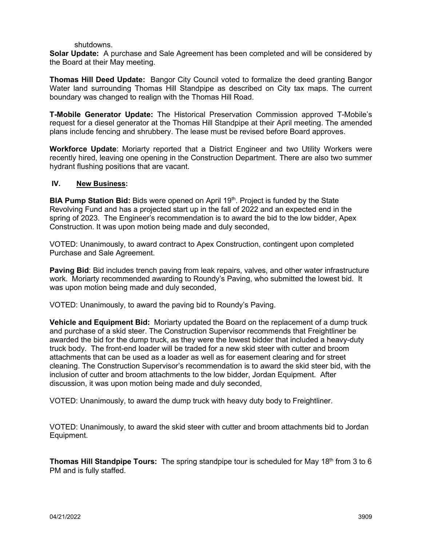#### shutdowns.

**Solar Update:** A purchase and Sale Agreement has been completed and will be considered by the Board at their May meeting.

**Thomas Hill Deed Update:** Bangor City Council voted to formalize the deed granting Bangor Water land surrounding Thomas Hill Standpipe as described on City tax maps. The current boundary was changed to realign with the Thomas Hill Road.

**T-Mobile Generator Update:** The Historical Preservation Commission approved T-Mobile's request for a diesel generator at the Thomas Hill Standpipe at their April meeting. The amended plans include fencing and shrubbery. The lease must be revised before Board approves.

**Workforce Update**: Moriarty reported that a District Engineer and two Utility Workers were recently hired, leaving one opening in the Construction Department. There are also two summer hydrant flushing positions that are vacant.

### **IV. New Business:**

**BIA Pump Station Bid:** Bids were opened on April 19<sup>th</sup>. Project is funded by the State Revolving Fund and has a projected start up in the fall of 2022 and an expected end in the spring of 2023. The Engineer's recommendation is to award the bid to the low bidder, Apex Construction. It was upon motion being made and duly seconded,

VOTED: Unanimously, to award contract to Apex Construction, contingent upon completed Purchase and Sale Agreement.

**Paving Bid**: Bid includes trench paving from leak repairs, valves, and other water infrastructure work.Moriarty recommended awarding to Roundy's Paving, who submitted the lowest bid. It was upon motion being made and duly seconded,

VOTED: Unanimously, to award the paving bid to Roundy's Paving.

**Vehicle and Equipment Bid:** Moriarty updated the Board on the replacement of a dump truck and purchase of a skid steer. The Construction Supervisor recommends that Freightliner be awarded the bid for the dump truck, as they were the lowest bidder that included a heavy-duty truck body. The front-end loader will be traded for a new skid steer with cutter and broom attachments that can be used as a loader as well as for easement clearing and for street cleaning. The Construction Supervisor's recommendation is to award the skid steer bid, with the inclusion of cutter and broom attachments to the low bidder, Jordan Equipment. After discussion, it was upon motion being made and duly seconded,

VOTED: Unanimously, to award the dump truck with heavy duty body to Freightliner.

VOTED: Unanimously, to award the skid steer with cutter and broom attachments bid to Jordan Equipment.

**Thomas Hill Standpipe Tours:** The spring standpipe tour is scheduled for May 18<sup>th</sup> from 3 to 6 PM and is fully staffed.